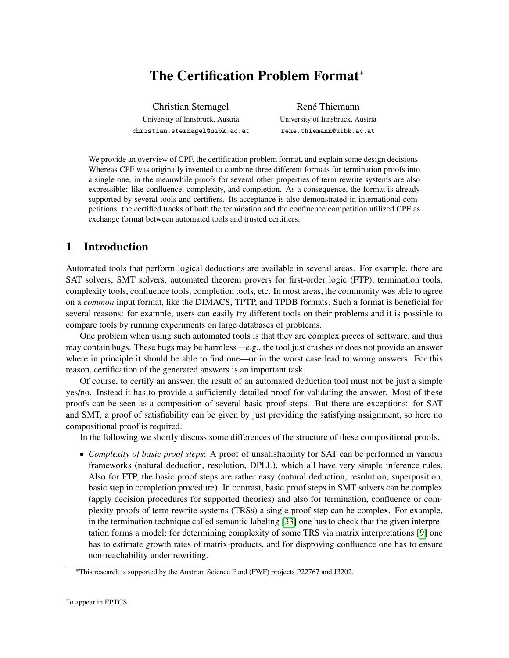# The Certification Problem Format<sup>\*</sup>

Christian Sternagel University of Innsbruck, Austria christian.sternagel@uibk.ac.at

René Thiemann University of Innsbruck, Austria rene.thiemann@uibk.ac.at

We provide an overview of CPF, the certification problem format, and explain some design decisions. Whereas CPF was originally invented to combine three different formats for termination proofs into a single one, in the meanwhile proofs for several other properties of term rewrite systems are also expressible: like confluence, complexity, and completion. As a consequence, the format is already supported by several tools and certifiers. Its acceptance is also demonstrated in international competitions: the certified tracks of both the termination and the confluence competition utilized CPF as exchange format between automated tools and trusted certifiers.

# 1 Introduction

Automated tools that perform logical deductions are available in several areas. For example, there are SAT solvers, SMT solvers, automated theorem provers for first-order logic (FTP), termination tools, complexity tools, confluence tools, completion tools, etc. In most areas, the community was able to agree on a *common* input format, like the DIMACS, TPTP, and TPDB formats. Such a format is beneficial for several reasons: for example, users can easily try different tools on their problems and it is possible to compare tools by running experiments on large databases of problems.

One problem when using such automated tools is that they are complex pieces of software, and thus may contain bugs. These bugs may be harmless—e.g., the tool just crashes or does not provide an answer where in principle it should be able to find one—or in the worst case lead to wrong answers. For this reason, certification of the generated answers is an important task.

Of course, to certify an answer, the result of an automated deduction tool must not be just a simple yes/no. Instead it has to provide a sufficiently detailed proof for validating the answer. Most of these proofs can be seen as a composition of several basic proof steps. But there are exceptions: for SAT and SMT, a proof of satisfiability can be given by just providing the satisfying assignment, so here no compositional proof is required.

In the following we shortly discuss some differences of the structure of these compositional proofs.

• *Complexity of basic proof steps*: A proof of unsatisfiability for SAT can be performed in various frameworks (natural deduction, resolution, DPLL), which all have very simple inference rules. Also for FTP, the basic proof steps are rather easy (natural deduction, resolution, superposition, basic step in completion procedure). In contrast, basic proof steps in SMT solvers can be complex (apply decision procedures for supported theories) and also for termination, confluence or complexity proofs of term rewrite systems (TRSs) a single proof step can be complex. For example, in the termination technique called semantic labeling [\[33\]](#page-11-0) one has to check that the given interpretation forms a model; for determining complexity of some TRS via matrix interpretations [\[9\]](#page-10-0) one has to estimate growth rates of matrix-products, and for disproving confluence one has to ensure non-reachability under rewriting.

<sup>∗</sup>This research is supported by the Austrian Science Fund (FWF) projects P22767 and J3202.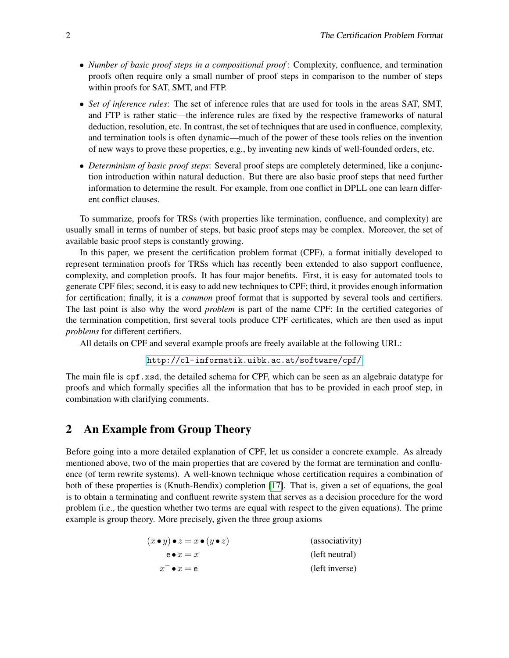- *Number of basic proof steps in a compositional proof* : Complexity, confluence, and termination proofs often require only a small number of proof steps in comparison to the number of steps within proofs for SAT, SMT, and FTP.
- *Set of inference rules*: The set of inference rules that are used for tools in the areas SAT, SMT, and FTP is rather static—the inference rules are fixed by the respective frameworks of natural deduction, resolution, etc. In contrast, the set of techniques that are used in confluence, complexity, and termination tools is often dynamic—much of the power of these tools relies on the invention of new ways to prove these properties, e.g., by inventing new kinds of well-founded orders, etc.
- *Determinism of basic proof steps*: Several proof steps are completely determined, like a conjunction introduction within natural deduction. But there are also basic proof steps that need further information to determine the result. For example, from one conflict in DPLL one can learn different conflict clauses.

To summarize, proofs for TRSs (with properties like termination, confluence, and complexity) are usually small in terms of number of steps, but basic proof steps may be complex. Moreover, the set of available basic proof steps is constantly growing.

In this paper, we present the certification problem format (CPF), a format initially developed to represent termination proofs for TRSs which has recently been extended to also support confluence, complexity, and completion proofs. It has four major benefits. First, it is easy for automated tools to generate CPF files; second, it is easy to add new techniques to CPF; third, it provides enough information for certification; finally, it is a *common* proof format that is supported by several tools and certifiers. The last point is also why the word *problem* is part of the name CPF: In the certified categories of the termination competition, first several tools produce CPF certificates, which are then used as input *problems* for different certifiers.

All details on CPF and several example proofs are freely available at the following URL:

<http://cl-informatik.uibk.ac.at/software/cpf/>

The main file is cpf.xsd, the detailed schema for CPF, which can be seen as an algebraic datatype for proofs and which formally specifies all the information that has to be provided in each proof step, in combination with clarifying comments.

## <span id="page-1-0"></span>2 An Example from Group Theory

Before going into a more detailed explanation of CPF, let us consider a concrete example. As already mentioned above, two of the main properties that are covered by the format are termination and confluence (of term rewrite systems). A well-known technique whose certification requires a combination of both of these properties is (Knuth-Bendix) completion [\[17\]](#page-10-1). That is, given a set of equations, the goal is to obtain a terminating and confluent rewrite system that serves as a decision procedure for the word problem (i.e., the question whether two terms are equal with respect to the given equations). The prime example is group theory. More precisely, given the three group axioms

| $(x \bullet y) \bullet z = x \bullet (y \bullet z)$ | (associativity) |
|-----------------------------------------------------|-----------------|
| $e \bullet x = x$                                   | (left neutral)  |
| $x \bullet x = e$                                   | (left inverse)  |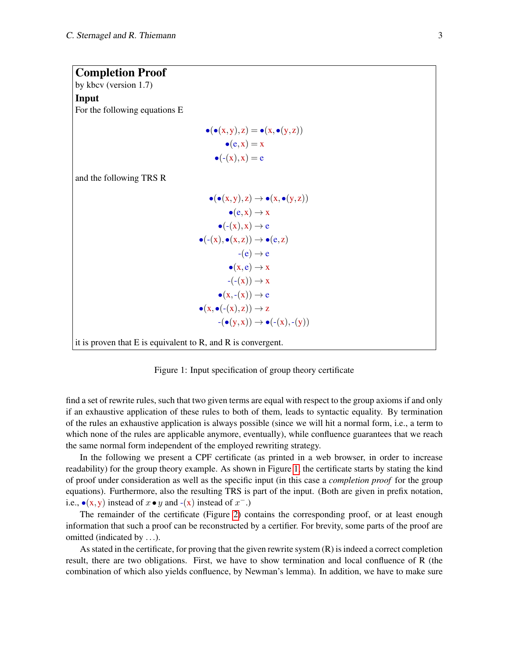<span id="page-2-0"></span>

| <b>Completion Proof</b>                                             |                                                                    |
|---------------------------------------------------------------------|--------------------------------------------------------------------|
| by kbcv (version $1.7$ )                                            |                                                                    |
| Input                                                               |                                                                    |
| For the following equations E                                       |                                                                    |
|                                                                     | $\bullet(\bullet(x,y),z)=\bullet(x,\bullet(y,z))$                  |
|                                                                     |                                                                    |
|                                                                     | $\bullet$ (e, x) = x                                               |
|                                                                     | $\bullet$ (-(x), x) = e                                            |
| and the following TRS R                                             |                                                                    |
|                                                                     | $\bullet(\bullet(x,y),z)\rightarrow\bullet(x,\bullet(y,z))$        |
|                                                                     | $\bullet$ (e, x) $\rightarrow$ x                                   |
|                                                                     | $\bullet$ (-(x), x) $\rightarrow$ e                                |
|                                                                     | $\bullet (\text{-}(x), \bullet (x, z)) \rightarrow \bullet (e, z)$ |
|                                                                     | $-(e) \rightarrow e$                                               |
|                                                                     | $\bullet(x,e) \rightarrow x$                                       |
|                                                                     | $-(-x)) \rightarrow x$                                             |
|                                                                     | $\bullet(x,-(x)) \rightarrow e$                                    |
|                                                                     | $\bullet(x, \bullet(\text{-}(x), z)) \to z$                        |
|                                                                     | $-(\bullet(y,x)) \rightarrow \bullet(-(x),-(y))$                   |
| it is proven that $E$ is equivalent to $R$ , and $R$ is convergent. |                                                                    |

Figure 1: Input specification of group theory certificate

find a set of rewrite rules, such that two given terms are equal with respect to the group axioms if and only if an exhaustive application of these rules to both of them, leads to syntactic equality. By termination of the rules an exhaustive application is always possible (since we will hit a normal form, i.e., a term to which none of the rules are applicable anymore, eventually), while confluence guarantees that we reach the same normal form independent of the employed rewriting strategy.

In the following we present a CPF certificate (as printed in a web browser, in order to increase readability) for the group theory example. As shown in Figure [1,](#page-2-0) the certificate starts by stating the kind of proof under consideration as well as the specific input (in this case a *completion proof* for the group equations). Furthermore, also the resulting TRS is part of the input. (Both are given in prefix notation, i.e.,  $\bullet$ (x,y) instead of  $x \bullet y$  and  $-(x)$  instead of  $x^-$ .)

The remainder of the certificate (Figure [2\)](#page-3-0) contains the corresponding proof, or at least enough information that such a proof can be reconstructed by a certifier. For brevity, some parts of the proof are omitted (indicated by ...).

As stated in the certificate, for proving that the given rewrite system (R) is indeed a correct completion result, there are two obligations. First, we have to show termination and local confluence of R (the combination of which also yields confluence, by Newman's lemma). In addition, we have to make sure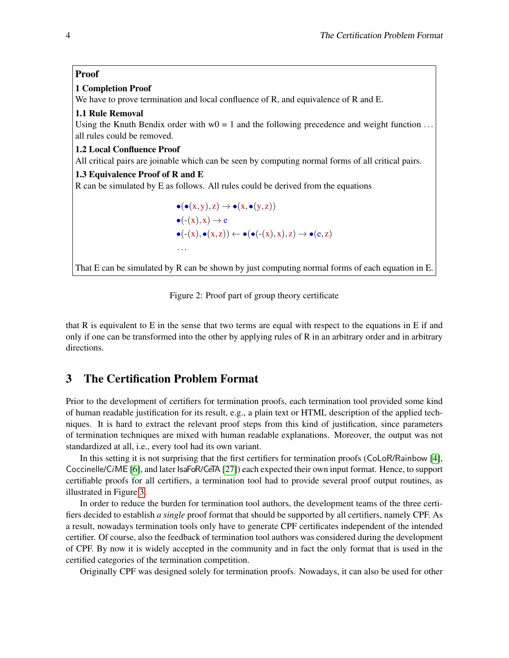#### <span id="page-3-0"></span>Proof

#### 1 Completion Proof

We have to prove termination and local confluence of R, and equivalence of R and E.

#### 1.1 Rule Removal

Using the Knuth Bendix order with  $w0 = 1$  and the following precedence and weight function ... all rules could be removed.

#### 1.2 Local Confluence Proof

All critical pairs are joinable which can be seen by computing normal forms of all critical pairs.

#### 1.3 Equivalence Proof of R and E

R can be simulated by E as follows. All rules could be derived from the equations

$$
\begin{aligned}\n\bullet(\bullet(x,y),z) &\to \bullet(x,\bullet(y,z)) \\
\bullet(\text{-}(x),x) &\to e \\
\bullet(\text{-}(x),\bullet(x,z)) &\leftarrow \bullet(\bullet(\text{-}(x),x),z) \to \bullet(e,z) \\
\cdots\n\end{aligned}
$$

That E can be simulated by R can be shown by just computing normal forms of each equation in E.



that R is equivalent to E in the sense that two terms are equal with respect to the equations in E if and only if one can be transformed into the other by applying rules of R in an arbitrary order and in arbitrary directions.

# 3 The Certification Problem Format

Prior to the development of certifiers for termination proofs, each termination tool provided some kind of human readable justification for its result, e.g., a plain text or HTML description of the applied techniques. It is hard to extract the relevant proof steps from this kind of justification, since parameters of termination techniques are mixed with human readable explanations. Moreover, the output was not standardized at all, i.e., every tool had its own variant.

In this setting it is not surprising that the first certifiers for termination proofs (CoLoR/Rainbow [\[4\]](#page-9-0), Coccinelle/CiME [\[6\]](#page-10-2), and later IsaFoR/CeTA [\[27\]](#page-11-1)) each expected their own input format. Hence, to support certifiable proofs for all certifiers, a termination tool had to provide several proof output routines, as illustrated in Figure [3.](#page-4-0)

In order to reduce the burden for termination tool authors, the development teams of the three certifiers decided to establish *a single* proof format that should be supported by all certifiers, namely CPF. As a result, nowadays termination tools only have to generate CPF certificates independent of the intended certifier. Of course, also the feedback of termination tool authors was considered during the development of CPF. By now it is widely accepted in the community and in fact the only format that is used in the certified categories of the termination competition.

Originally CPF was designed solely for termination proofs. Nowadays, it can also be used for other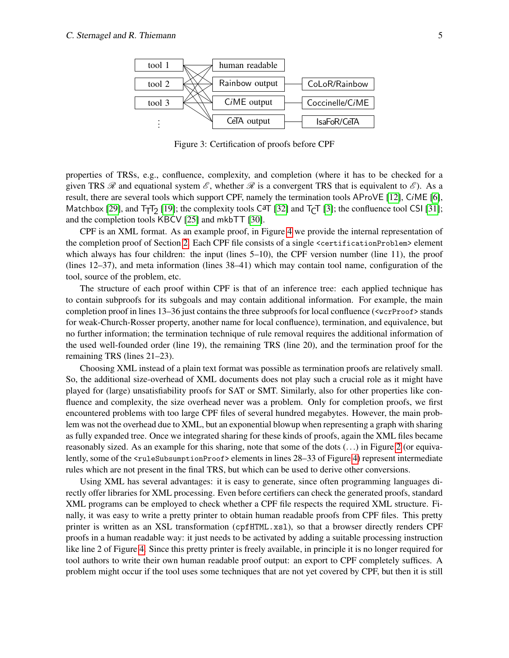<span id="page-4-0"></span>

Figure 3: Certification of proofs before CPF

properties of TRSs, e.g., confluence, complexity, and completion (where it has to be checked for a given TRS  $\mathcal R$  and equational system  $\mathcal E$ , whether  $\mathcal R$  is a convergent TRS that is equivalent to  $\mathcal E$ ). As a result, there are several tools which support CPF, namely the termination tools AProVE [\[12\]](#page-10-3), CiME [\[6\]](#page-10-2), Matchbox [\[29\]](#page-11-2), and  $T_TT_2$  [\[19\]](#page-10-4); the complexity tools C<sup>a</sup>T [\[32\]](#page-11-3) and  $T_CT$  [\[3\]](#page-9-1); the confluence tool CSI [\[31\]](#page-11-4); and the completion tools KBCV [\[25\]](#page-10-5) and mkbTT [\[30\]](#page-11-5).

CPF is an XML format. As an example proof, in Figure [4](#page-5-0) we provide the internal representation of the completion proof of Section [2.](#page-1-0) Each CPF file consists of a single <certificationProblem> element which always has four children: the input (lines 5–10), the CPF version number (line 11), the proof (lines 12–37), and meta information (lines 38–41) which may contain tool name, configuration of the tool, source of the problem, etc.

The structure of each proof within CPF is that of an inference tree: each applied technique has to contain subproofs for its subgoals and may contain additional information. For example, the main completion proof in lines 13–36 just contains the three subproofs for local confluence (<wcrProof> stands for weak-Church-Rosser property, another name for local confluence), termination, and equivalence, but no further information; the termination technique of rule removal requires the additional information of the used well-founded order (line 19), the remaining TRS (line 20), and the termination proof for the remaining TRS (lines 21–23).

Choosing XML instead of a plain text format was possible as termination proofs are relatively small. So, the additional size-overhead of XML documents does not play such a crucial role as it might have played for (large) unsatisfiability proofs for SAT or SMT. Similarly, also for other properties like confluence and complexity, the size overhead never was a problem. Only for completion proofs, we first encountered problems with too large CPF files of several hundred megabytes. However, the main problem was not the overhead due to XML, but an exponential blowup when representing a graph with sharing as fully expanded tree. Once we integrated sharing for these kinds of proofs, again the XML files became reasonably sized. As an example for this sharing, note that some of the dots (...) in Figure [2](#page-3-0) (or equiva-lently, some of the <ruleSubsumptionProof> elements in lines 28–33 of Figure [4\)](#page-5-0) represent intermediate rules which are not present in the final TRS, but which can be used to derive other conversions.

Using XML has several advantages: it is easy to generate, since often programming languages directly offer libraries for XML processing. Even before certifiers can check the generated proofs, standard XML programs can be employed to check whether a CPF file respects the required XML structure. Finally, it was easy to write a pretty printer to obtain human readable proofs from CPF files. This pretty printer is written as an XSL transformation (cpfHTML.xsl), so that a browser directly renders CPF proofs in a human readable way: it just needs to be activated by adding a suitable processing instruction like line 2 of Figure [4.](#page-5-0) Since this pretty printer is freely available, in principle it is no longer required for tool authors to write their own human readable proof output: an export to CPF completely suffices. A problem might occur if the tool uses some techniques that are not yet covered by CPF, but then it is still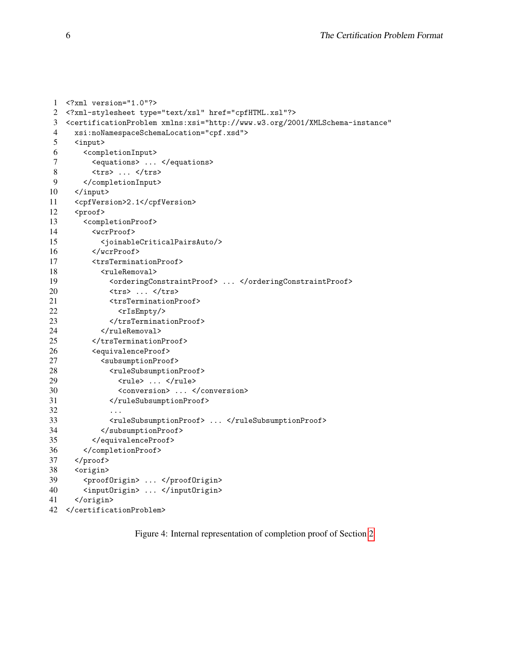```
1 <?xml version="1.0"?>
2 <?xml-stylesheet type="text/xsl" href="cpfHTML.xsl"?>
3 <certificationProblem xmlns:xsi="http://www.w3.org/2001/XMLSchema-instance"
4 xsi:noNamespaceSchemaLocation="cpf.xsd">
5 <input>
6 <completionInput>
7 <equations> ... </equations>
8 <trs> ... </trs>
9 </completionInput><br>10 </input>
    \langleinput>
11 <cpfVersion>2.1</cpfVersion>
12 <proof>
13 <completionProof>
14 <wcrProof>
15 <joinableCriticalPairsAuto/>
16 </wcrProof>
17 <trsTerminationProof>
18 <ruleRemoval>
19 <orderingConstraintProof> ... </orderingConstraintProof>
20 <trs> ... </trs>
21 <trsTerminationProof>
22 <rIsEmpty/>
23 </trsTerminationProof>
24 </ruleRemoval>
25 </trsTerminationProof>
26 <equivalenceProof><br>27 <subsumptionProor
          27 <subsumptionProof>
28 <ruleSubsumptionProof>
29 <rule> ... </rule>
30 <conversion> ... </conversion>
31 </ruleSubsumptionProof>
32 ...
33 <ruleSubsumptionProof> ... </ruleSubsumptionProof>
34 </subsumptionProof>
35 </equivalenceProof>
36 </completionProof>
37 </proof>
38 <origin>
39 <proofOrigin> ... </proofOrigin>
40 <inputOrigin> ... </inputOrigin>
41 </origin>
42 </certificationProblem>
```
Figure 4: Internal representation of completion proof of Section [2](#page-1-0)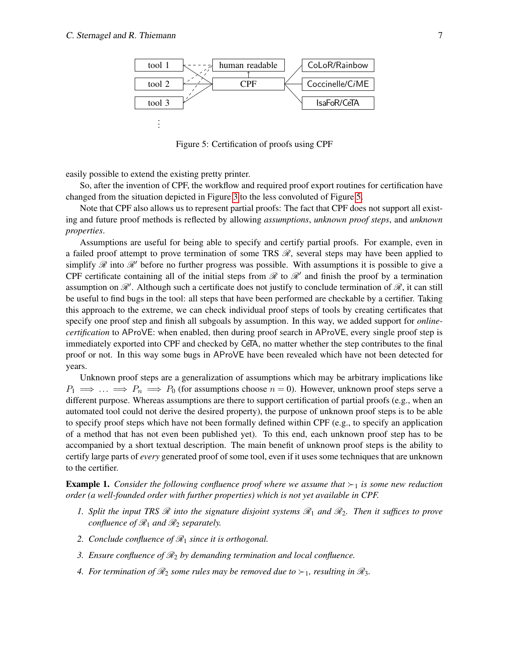<span id="page-6-0"></span>

Figure 5: Certification of proofs using CPF

easily possible to extend the existing pretty printer.

So, after the invention of CPF, the workflow and required proof export routines for certification have changed from the situation depicted in Figure [3](#page-4-0) to the less convoluted of Figure [5.](#page-6-0)

Note that CPF also allows us to represent partial proofs: The fact that CPF does not support all existing and future proof methods is reflected by allowing *assumptions*, *unknown proof steps*, and *unknown properties*.

Assumptions are useful for being able to specify and certify partial proofs. For example, even in a failed proof attempt to prove termination of some TRS  $\mathcal{R}$ , several steps may have been applied to simplify  $\mathscr R$  into  $\mathscr R'$  before no further progress was possible. With assumptions it is possible to give a CPF certificate containing all of the initial steps from  $\mathcal R$  to  $\mathcal R'$  and finish the proof by a termination assumption on  $\mathscr{R}'$ . Although such a certificate does not justify to conclude termination of  $\mathscr{R}$ , it can still be useful to find bugs in the tool: all steps that have been performed are checkable by a certifier. Taking this approach to the extreme, we can check individual proof steps of tools by creating certificates that specify one proof step and finish all subgoals by assumption. In this way, we added support for *onlinecertification* to AProVE: when enabled, then during proof search in AProVE, every single proof step is immediately exported into CPF and checked by CeTA, no matter whether the step contributes to the final proof or not. In this way some bugs in AProVE have been revealed which have not been detected for years.

Unknown proof steps are a generalization of assumptions which may be arbitrary implications like  $P_1 \implies \ldots \implies P_n \implies P_0$  (for assumptions choose  $n = 0$ ). However, unknown proof steps serve a different purpose. Whereas assumptions are there to support certification of partial proofs (e.g., when an automated tool could not derive the desired property), the purpose of unknown proof steps is to be able to specify proof steps which have not been formally defined within CPF (e.g., to specify an application of a method that has not even been published yet). To this end, each unknown proof step has to be accompanied by a short textual description. The main benefit of unknown proof steps is the ability to certify large parts of *every* generated proof of some tool, even if it uses some techniques that are unknown to the certifier.

**Example 1.** Consider the following confluence proof where we assume that  $\succ_1$  is some new reduction *order (a well-founded order with further properties) which is not yet available in CPF.*

- *1. Split the input TRS* R *into the signature disjoint systems* R<sup>1</sup> *and* R2*. Then it suffices to prove confluence of*  $\mathcal{R}_1$  *and*  $\mathcal{R}_2$  *separately.*
- *2. Conclude confluence of*  $\mathcal{R}_1$  *since it is orthogonal.*
- *3. Ensure confluence of* R<sup>2</sup> *by demanding termination and local confluence.*
- *4. For termination of*  $\mathcal{R}_2$  *some rules may be removed due to*  $\succ_1$ *, resulting in*  $\mathcal{R}_3$ *.*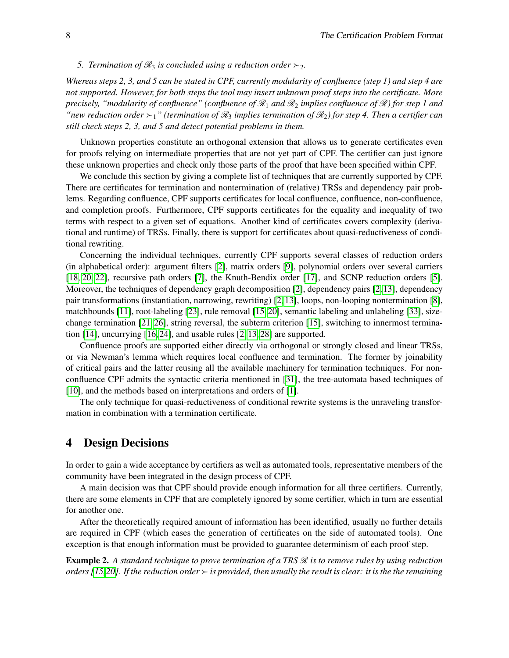#### *5. Termination of*  $\mathcal{R}_3$  *is concluded using a reduction order*  $\succ_2$ *.*

*Whereas steps 2, 3, and 5 can be stated in CPF, currently modularity of confluence (step 1) and step 4 are not supported. However, for both steps the tool may insert unknown proof steps into the certificate. More precisely, "modularity of confluence" (confluence of*  $\mathcal{R}_1$  *and*  $\mathcal{R}_2$  *implies confluence of*  $\mathcal{R}$ *) for step 1 and "new reduction order*  $\succ_1$ " (termination of  $\mathcal{R}_3$  implies termination of  $\mathcal{R}_2$ ) for step 4. Then a certifier can *still check steps 2, 3, and 5 and detect potential problems in them.*

Unknown properties constitute an orthogonal extension that allows us to generate certificates even for proofs relying on intermediate properties that are not yet part of CPF. The certifier can just ignore these unknown properties and check only those parts of the proof that have been specified within CPF.

We conclude this section by giving a complete list of techniques that are currently supported by CPF. There are certificates for termination and nontermination of (relative) TRSs and dependency pair problems. Regarding confluence, CPF supports certificates for local confluence, confluence, non-confluence, and completion proofs. Furthermore, CPF supports certificates for the equality and inequality of two terms with respect to a given set of equations. Another kind of certificates covers complexity (derivational and runtime) of TRSs. Finally, there is support for certificates about quasi-reductiveness of conditional rewriting.

Concerning the individual techniques, currently CPF supports several classes of reduction orders (in alphabetical order): argument filters [\[2\]](#page-9-2), matrix orders [\[9\]](#page-10-0), polynomial orders over several carriers [\[18,](#page-10-6) [20,](#page-10-7) [22\]](#page-10-8), recursive path orders [\[7\]](#page-10-9), the Knuth-Bendix order [\[17\]](#page-10-1), and SCNP reduction orders [\[5\]](#page-9-3). Moreover, the techniques of dependency graph decomposition [\[2\]](#page-9-2), dependency pairs [\[2,](#page-9-2)[13\]](#page-10-10), dependency pair transformations (instantiation, narrowing, rewriting) [\[2,](#page-9-2) [13\]](#page-10-10), loops, non-looping nontermination [\[8\]](#page-10-11), matchbounds [\[11\]](#page-10-12), root-labeling [\[23\]](#page-10-13), rule removal [\[15,](#page-10-14) [20\]](#page-10-7), semantic labeling and unlabeling [\[33\]](#page-11-0), sizechange termination [\[21,](#page-10-15) [26\]](#page-10-16), string reversal, the subterm criterion [\[15\]](#page-10-14), switching to innermost termination [\[14\]](#page-10-17), uncurrying [\[16,](#page-10-18) [24\]](#page-10-19), and usable rules [\[2,](#page-9-2) [13,](#page-10-10) [28\]](#page-11-6) are supported.

Confluence proofs are supported either directly via orthogonal or strongly closed and linear TRSs, or via Newman's lemma which requires local confluence and termination. The former by joinability of critical pairs and the latter reusing all the available machinery for termination techniques. For nonconfluence CPF admits the syntactic criteria mentioned in [\[31\]](#page-11-4), the tree-automata based techniques of [\[10\]](#page-10-20), and the methods based on interpretations and orders of [\[1\]](#page-9-4).

The only technique for quasi-reductiveness of conditional rewrite systems is the unraveling transformation in combination with a termination certificate.

# 4 Design Decisions

In order to gain a wide acceptance by certifiers as well as automated tools, representative members of the community have been integrated in the design process of CPF.

A main decision was that CPF should provide enough information for all three certifiers. Currently, there are some elements in CPF that are completely ignored by some certifier, which in turn are essential for another one.

After the theoretically required amount of information has been identified, usually no further details are required in CPF (which eases the generation of certificates on the side of automated tools). One exception is that enough information must be provided to guarantee determinism of each proof step.

**Example 2.** A standard technique to prove termination of a TRS  $\mathcal{R}$  is to remove rules by using reduction *orders [\[15,](#page-10-14)[20\]](#page-10-7). If the reduction order is provided, then usually the result is clear: it is the the remaining*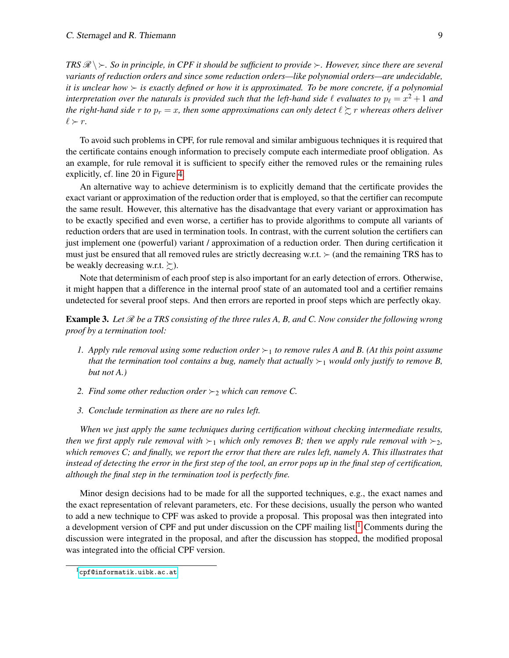*TRS*  $\mathcal{R} \setminus \rangle$ . So in principle, in CPF it should be sufficient to provide  $\succ$ . However, since there are several *variants of reduction orders and since some reduction orders—like polynomial orders—are undecidable, it is unclear how*  $\succ$  *is exactly defined or how it is approximated. To be more concrete, if a polynomial* interpretation over the naturals is provided such that the left-hand side  $\ell$  evaluates to  $p_{\ell} = x^2 + 1$  and *the right-hand side r to*  $p_r = x$ , then some approximations can only detect  $\ell \geq r$  whereas others deliver  $\ell \succ r$ .

To avoid such problems in CPF, for rule removal and similar ambiguous techniques it is required that the certificate contains enough information to precisely compute each intermediate proof obligation. As an example, for rule removal it is sufficient to specify either the removed rules or the remaining rules explicitly, cf. line 20 in Figure [4.](#page-5-0)

An alternative way to achieve determinism is to explicitly demand that the certificate provides the exact variant or approximation of the reduction order that is employed, so that the certifier can recompute the same result. However, this alternative has the disadvantage that every variant or approximation has to be exactly specified and even worse, a certifier has to provide algorithms to compute all variants of reduction orders that are used in termination tools. In contrast, with the current solution the certifiers can just implement one (powerful) variant / approximation of a reduction order. Then during certification it must just be ensured that all removed rules are strictly decreasing w.r.t.  $\succ$  (and the remaining TRS has to be weakly decreasing w.r.t.  $\succsim$ ).

Note that determinism of each proof step is also important for an early detection of errors. Otherwise, it might happen that a difference in the internal proof state of an automated tool and a certifier remains undetected for several proof steps. And then errors are reported in proof steps which are perfectly okay.

**Example 3.** Let  $\mathcal{R}$  be a TRS consisting of the three rules A, B, and C. Now consider the following wrong *proof by a termination tool:*

- *1. Apply rule removal using some reduction order*  $\succ_1$  *to remove rules A and B. (At this point assume that the termination tool contains a bug, namely that actually*  $\succ_1$  *would only justify to remove B, but not A.)*
- *2. Find some other reduction order*  $\succ_2$  *which can remove C.*
- *3. Conclude termination as there are no rules left.*

*When we just apply the same techniques during certification without checking intermediate results, then we first apply rule removal with*  $\succ_1$  *which only removes B; then we apply rule removal with*  $\succ_2$ *, which removes C; and finally, we report the error that there are rules left, namely A. This illustrates that instead of detecting the error in the first step of the tool, an error pops up in the final step of certification, although the final step in the termination tool is perfectly fine.*

Minor design decisions had to be made for all the supported techniques, e.g., the exact names and the exact representation of relevant parameters, etc. For these decisions, usually the person who wanted to add a new technique to CPF was asked to provide a proposal. This proposal was then integrated into a development version of CPF and put under discussion on the CPF mailing list.<sup>[1](#page-8-0)</sup> Comments during the discussion were integrated in the proposal, and after the discussion has stopped, the modified proposal was integrated into the official CPF version.

<span id="page-8-0"></span><sup>1</sup>[cpf@informatik.uibk.ac.at](mailto:cpf@informatik.uibk.ac.at)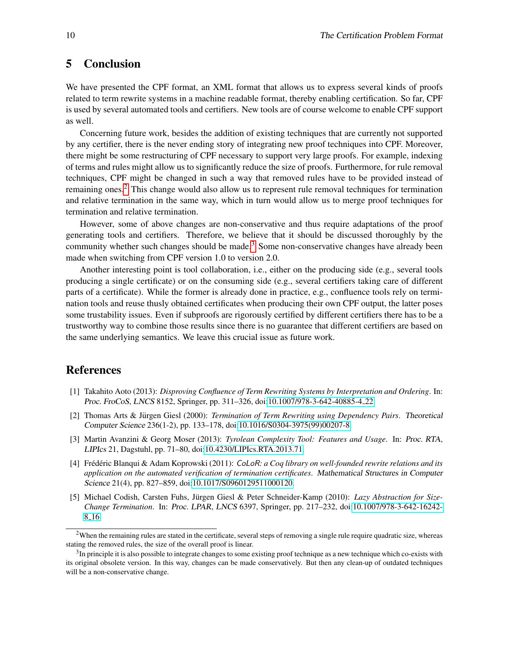# 5 Conclusion

We have presented the CPF format, an XML format that allows us to express several kinds of proofs related to term rewrite systems in a machine readable format, thereby enabling certification. So far, CPF is used by several automated tools and certifiers. New tools are of course welcome to enable CPF support as well.

Concerning future work, besides the addition of existing techniques that are currently not supported by any certifier, there is the never ending story of integrating new proof techniques into CPF. Moreover, there might be some restructuring of CPF necessary to support very large proofs. For example, indexing of terms and rules might allow us to significantly reduce the size of proofs. Furthermore, for rule removal techniques, CPF might be changed in such a way that removed rules have to be provided instead of remaining ones.<sup>[2](#page-9-5)</sup> This change would also allow us to represent rule removal techniques for termination and relative termination in the same way, which in turn would allow us to merge proof techniques for termination and relative termination.

However, some of above changes are non-conservative and thus require adaptations of the proof generating tools and certifiers. Therefore, we believe that it should be discussed thoroughly by the community whether such changes should be made.<sup>[3](#page-9-6)</sup> Some non-conservative changes have already been made when switching from CPF version 1.0 to version 2.0.

Another interesting point is tool collaboration, i.e., either on the producing side (e.g., several tools producing a single certificate) or on the consuming side (e.g., several certifiers taking care of different parts of a certificate). While the former is already done in practice, e.g., confluence tools rely on termination tools and reuse thusly obtained certificates when producing their own CPF output, the latter poses some trustability issues. Even if subproofs are rigorously certified by different certifiers there has to be a trustworthy way to combine those results since there is no guarantee that different certifiers are based on the same underlying semantics. We leave this crucial issue as future work.

# References

- <span id="page-9-4"></span>[1] Takahito Aoto (2013): *Disproving Confluence of Term Rewriting Systems by Interpretation and Ordering*. In: Proc. FroCoS, LNCS 8152, Springer, pp. 311–326, doi[:10.1007/978-3-642-40885-4](http://dx.doi.org/10.1007/978-3-642-40885-4_22) 22.
- <span id="page-9-2"></span>[2] Thomas Arts & Jürgen Giesl (2000): *Termination of Term Rewriting using Dependency Pairs*. Theoretical Computer Science 236(1-2), pp. 133–178, doi[:10.1016/S0304-3975\(99\)00207-8.](http://dx.doi.org/10.1016/S0304-3975(99)00207-8)
- <span id="page-9-1"></span>[3] Martin Avanzini & Georg Moser (2013): *Tyrolean Complexity Tool: Features and Usage*. In: Proc. RTA, LIPIcs 21, Dagstuhl, pp. 71–80, doi[:10.4230/LIPIcs.RTA.2013.71.](http://dx.doi.org/10.4230/LIPIcs.RTA.2013.71)
- <span id="page-9-0"></span>[4] Frédéric Blanqui & Adam Koprowski (2011): *CoLoR: a Coq library on well-founded rewrite relations and its application on the automated verification of termination certificates*. Mathematical Structures in Computer Science 21(4), pp. 827–859, doi[:10.1017/S0960129511000120.](http://dx.doi.org/10.1017/S0960129511000120)
- <span id="page-9-3"></span>[5] Michael Codish, Carsten Fuhs, Jürgen Giesl & Peter Schneider-Kamp (2010): *Lazy Abstraction for Size-Change Termination*. In: Proc. LPAR, LNCS 6397, Springer, pp. 217–232, doi[:10.1007/978-3-642-16242-](http://dx.doi.org/10.1007/978-3-642-16242-8_16) 8.[16.](http://dx.doi.org/10.1007/978-3-642-16242-8_16)

<span id="page-9-5"></span><sup>&</sup>lt;sup>2</sup>When the remaining rules are stated in the certificate, several steps of removing a single rule require quadratic size, whereas stating the removed rules, the size of the overall proof is linear.

<span id="page-9-6"></span> $3$ In principle it is also possible to integrate changes to some existing proof technique as a new technique which co-exists with its original obsolete version. In this way, changes can be made conservatively. But then any clean-up of outdated techniques will be a non-conservative change.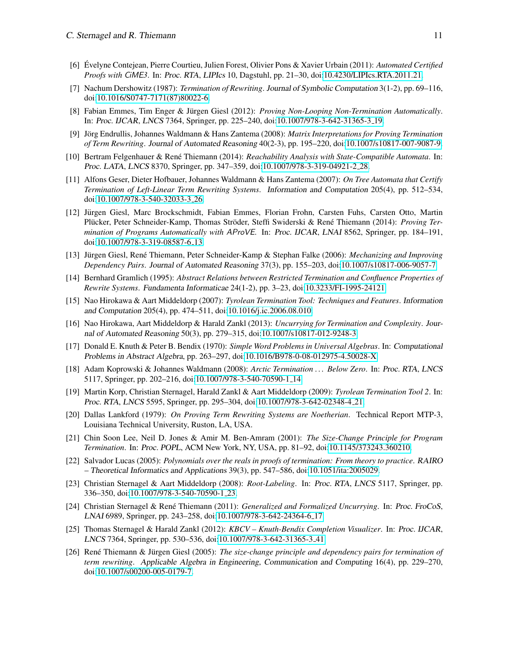- <span id="page-10-2"></span>[6] Evelyne Contejean, Pierre Courtieu, Julien Forest, Olivier Pons & Xavier Urbain (2011): ´ *Automated Certified Proofs with* CiME*3*. In: Proc. RTA, LIPIcs 10, Dagstuhl, pp. 21–30, doi[:10.4230/LIPIcs.RTA.2011.21.](http://dx.doi.org/10.4230/LIPIcs.RTA.2011.21)
- <span id="page-10-9"></span>[7] Nachum Dershowitz (1987): *Termination of Rewriting*. Journal of Symbolic Computation 3(1-2), pp. 69–116, doi[:10.1016/S0747-7171\(87\)80022-6.](http://dx.doi.org/10.1016/S0747-7171(87)80022-6)
- <span id="page-10-11"></span>[8] Fabian Emmes, Tim Enger & Jürgen Giesl (2012): *Proving Non-Looping Non-Termination Automatically*. In: Proc. IJCAR, LNCS 7364, Springer, pp. 225–240, doi[:10.1007/978-3-642-31365-3](http://dx.doi.org/10.1007/978-3-642-31365-3_19) 19.
- <span id="page-10-0"></span>[9] Jörg Endrullis, Johannes Waldmann & Hans Zantema (2008): *Matrix Interpretations for Proving Termination of Term Rewriting*. Journal of Automated Reasoning 40(2-3), pp. 195–220, doi[:10.1007/s10817-007-9087-9.](http://dx.doi.org/10.1007/s10817-007-9087-9)
- <span id="page-10-20"></span>[10] Bertram Felgenhauer & René Thiemann (2014): *Reachability Analysis with State-Compatible Automata*. In: Proc. LATA, LNCS 8370, Springer, pp. 347–359, doi[:10.1007/978-3-319-04921-2](http://dx.doi.org/10.1007/978-3-319-04921-2_28) 28.
- <span id="page-10-12"></span>[11] Alfons Geser, Dieter Hofbauer, Johannes Waldmann & Hans Zantema (2007): *On Tree Automata that Certify Termination of Left-Linear Term Rewriting Systems*. Information and Computation 205(4), pp. 512–534, doi[:10.1007/978-3-540-32033-3](http://dx.doi.org/10.1007/978-3-540-32033-3_26) 26.
- <span id="page-10-3"></span>[12] Jurgen Giesl, Marc Brockschmidt, Fabian Emmes, Florian Frohn, Carsten Fuhs, Carsten Otto, Martin ¨ Plücker, Peter Schneider-Kamp, Thomas Ströder, Steffi Swiderski & René Thiemann (2014): *Proving Termination of Programs Automatically with* AProVE. In: Proc. IJCAR, LNAI 8562, Springer, pp. 184–191, doi[:10.1007/978-3-319-08587-6](http://dx.doi.org/10.1007/978-3-319-08587-6_13) 13.
- <span id="page-10-10"></span>[13] Jürgen Giesl, René Thiemann, Peter Schneider-Kamp & Stephan Falke (2006): *Mechanizing and Improving Dependency Pairs*. Journal of Automated Reasoning 37(3), pp. 155–203, doi[:10.1007/s10817-006-9057-7.](http://dx.doi.org/10.1007/s10817-006-9057-7)
- <span id="page-10-17"></span>[14] Bernhard Gramlich (1995): *Abstract Relations between Restricted Termination and Confluence Properties of Rewrite Systems*. Fundamenta Informaticae 24(1-2), pp. 3–23, doi[:10.3233/FI-1995-24121.](http://dx.doi.org/10.3233/FI-1995-24121)
- <span id="page-10-14"></span>[15] Nao Hirokawa & Aart Middeldorp (2007): *Tyrolean Termination Tool: Techniques and Features*. Information and Computation 205(4), pp. 474–511, doi[:10.1016/j.ic.2006.08.010.](http://dx.doi.org/10.1016/j.ic.2006.08.010)
- <span id="page-10-18"></span>[16] Nao Hirokawa, Aart Middeldorp & Harald Zankl (2013): *Uncurrying for Termination and Complexity*. Journal of Automated Reasoning 50(3), pp. 279–315, doi[:10.1007/s10817-012-9248-3.](http://dx.doi.org/10.1007/s10817-012-9248-3)
- <span id="page-10-1"></span>[17] Donald E. Knuth & Peter B. Bendix (1970): *Simple Word Problems in Universal Algebras*. In: Computational Problems in Abstract Algebra, pp. 263–297, doi[:10.1016/B978-0-08-012975-4.50028-X.](http://dx.doi.org/10.1016/B978-0-08-012975-4.50028-X)
- <span id="page-10-6"></span>[18] Adam Koprowski & Johannes Waldmann (2008): *Arctic Termination . . . Below Zero*. In: Proc. RTA, LNCS 5117, Springer, pp. 202–216, doi[:10.1007/978-3-540-70590-1](http://dx.doi.org/10.1007/978-3-540-70590-1_14) 14.
- <span id="page-10-4"></span>[19] Martin Korp, Christian Sternagel, Harald Zankl & Aart Middeldorp (2009): *Tyrolean Termination Tool 2*. In: Proc. RTA, LNCS 5595, Springer, pp. 295–304, doi[:10.1007/978-3-642-02348-4](http://dx.doi.org/10.1007/978-3-642-02348-4_21) 21.
- <span id="page-10-7"></span>[20] Dallas Lankford (1979): *On Proving Term Rewriting Systems are Noetherian*. Technical Report MTP-3, Louisiana Technical University, Ruston, LA, USA.
- <span id="page-10-15"></span>[21] Chin Soon Lee, Neil D. Jones & Amir M. Ben-Amram (2001): *The Size-Change Principle for Program Termination*. In: Proc. POPL, ACM New York, NY, USA, pp. 81–92, doi[:10.1145/373243.360210.](http://dx.doi.org/10.1145/373243.360210)
- <span id="page-10-8"></span>[22] Salvador Lucas (2005): *Polynomials over the reals in proofs of termination: From theory to practice*. RAIRO – Theoretical Informatics and Applications 39(3), pp. 547–586, doi[:10.1051/ita:2005029.](http://dx.doi.org/10.1051/ita:2005029)
- <span id="page-10-13"></span>[23] Christian Sternagel & Aart Middeldorp (2008): *Root-Labeling*. In: Proc. RTA, LNCS 5117, Springer, pp. 336–350, doi[:10.1007/978-3-540-70590-1](http://dx.doi.org/10.1007/978-3-540-70590-1_23) 23.
- <span id="page-10-19"></span>[24] Christian Sternagel & René Thiemann (2011): *Generalized and Formalized Uncurrying*. In: Proc. FroCoS, LNAI 6989, Springer, pp. 243–258, doi[:10.1007/978-3-642-24364-6](http://dx.doi.org/10.1007/978-3-642-24364-6_17) 17.
- <span id="page-10-5"></span>[25] Thomas Sternagel & Harald Zankl (2012): *KBCV – Knuth-Bendix Completion Visualizer*. In: Proc. IJCAR, LNCS 7364, Springer, pp. 530–536, doi[:10.1007/978-3-642-31365-3](http://dx.doi.org/10.1007/978-3-642-31365-3_41) 41.
- <span id="page-10-16"></span>[26] René Thiemann & Jürgen Giesl (2005): *The size-change principle and dependency pairs for termination of term rewriting*. Applicable Algebra in Engineering, Communication and Computing 16(4), pp. 229–270, doi[:10.1007/s00200-005-0179-7.](http://dx.doi.org/10.1007/s00200-005-0179-7)